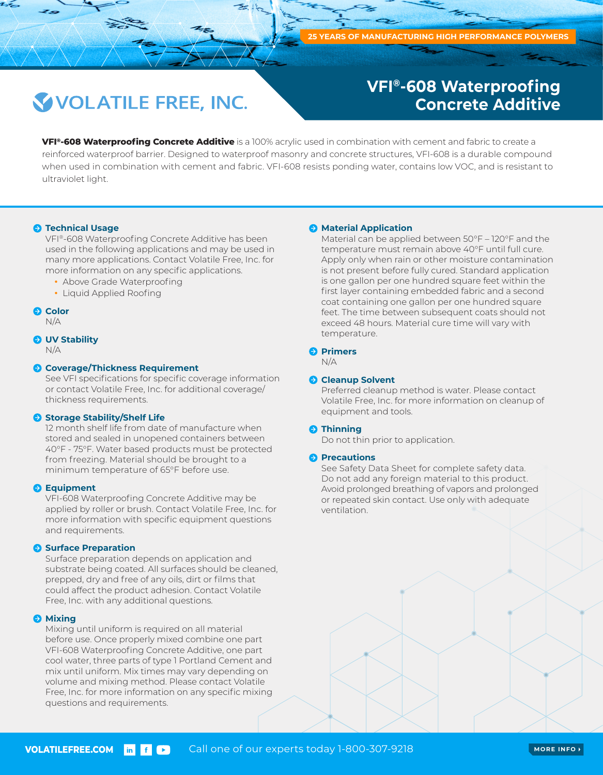## **VOLATILE FREE, INC.**

## **VFI®-608 Waterproofing Concrete Additive**

**VFI®-608 Waterproofing Concrete Additive** is a 100% acrylic used in combination with cement and fabric to create a reinforced waterproof barrier. Designed to waterproof masonry and concrete structures, VFI-608 is a durable compound when used in combination with cement and fabric. VFI-608 resists ponding water, contains low VOC, and is resistant to ultraviolet light.

## $\bullet$  **Technical Usage**

VFI®-608 Waterproofing Concrete Additive has been used in the following applications and may be used in many more applications. Contact Volatile Free, Inc. for more information on any specific applications.

- Above Grade Waterproofing
- Liquid Applied Roofing

## **Color**

N/A

## **UV Stability**

N/A

## **Coverage/Thickness Requirement**

See VFI specifications for specific coverage information or contact Volatile Free, Inc. for additional coverage/ thickness requirements.

#### **Storage Stability/Shelf Life**

12 month shelf life from date of manufacture when stored and sealed in unopened containers between 40°F - 75°F. Water based products must be protected from freezing. Material should be brought to a minimum temperature of 65°F before use.

#### **B** Equipment

VFI-608 Waterproofing Concrete Additive may be applied by roller or brush. Contact Volatile Free, Inc. for more information with specific equipment questions and requirements.

#### **Surface Preparation**

Surface preparation depends on application and substrate being coated. All surfaces should be cleaned, prepped, dry and free of any oils, dirt or films that could affect the product adhesion. Contact Volatile Free, Inc. with any additional questions.

#### $\Theta$  Mixing

Mixing until uniform is required on all material before use. Once properly mixed combine one part VFI-608 Waterproofing Concrete Additive, one part cool water, three parts of type 1 Portland Cement and mix until uniform. Mix times may vary depending on volume and mixing method. Please contact Volatile Free, Inc. for more information on any specific mixing questions and requirements.

#### **A** Material Application

Material can be applied between 50°F – 120°F and the temperature must remain above 40°F until full cure. Apply only when rain or other moisture contamination is not present before fully cured. Standard application is one gallon per one hundred square feet within the first layer containing embedded fabric and a second coat containing one gallon per one hundred square feet. The time between subsequent coats should not exceed 48 hours. Material cure time will vary with temperature.

#### **Primers**

N/A

## **A** Cleanup Solvent

Preferred cleanup method is water. Please contact Volatile Free, Inc. for more information on cleanup of equipment and tools.

#### $\Theta$  Thinning

Do not thin prior to application.

#### **Precautions**

See Safety Data Sheet for complete safety data. Do not add any foreign material to this product. Avoid prolonged breathing of vapors and prolonged or repeated skin contact. Use only with adequate ventilation.